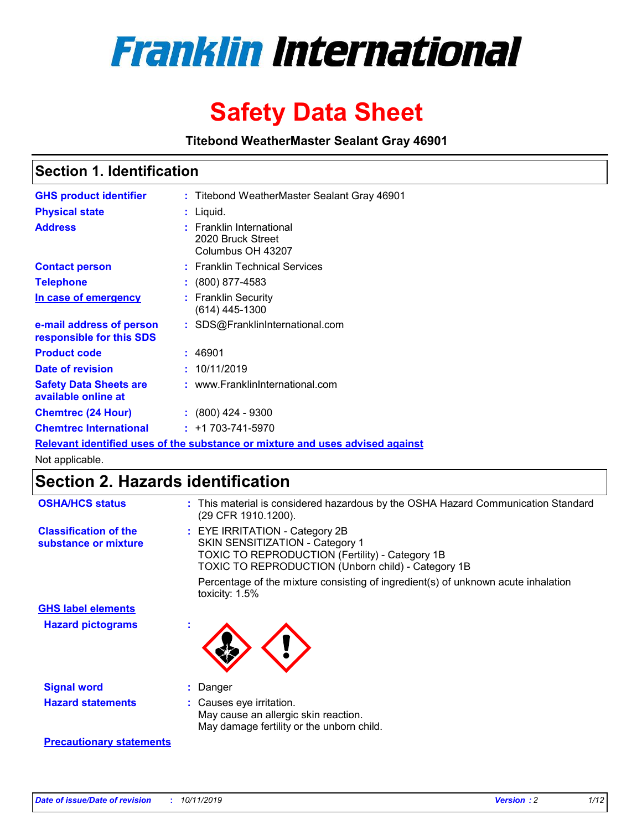

# **Safety Data Sheet**

**Titebond WeatherMaster Sealant Gray 46901**

### **Section 1. Identification**

| <b>GHS product identifier</b>                        | : Titebond WeatherMaster Sealant Gray 46901                                   |
|------------------------------------------------------|-------------------------------------------------------------------------------|
| <b>Physical state</b>                                | : Liquid.                                                                     |
| <b>Address</b>                                       | : Franklin International<br>2020 Bruck Street<br>Columbus OH 43207            |
| <b>Contact person</b>                                | : Franklin Technical Services                                                 |
| <b>Telephone</b>                                     | $\div$ (800) 877-4583                                                         |
| In case of emergency                                 | : Franklin Security<br>(614) 445-1300                                         |
| e-mail address of person<br>responsible for this SDS | : SDS@FranklinInternational.com                                               |
| <b>Product code</b>                                  | : 46901                                                                       |
| Date of revision                                     | : 10/11/2019                                                                  |
| <b>Safety Data Sheets are</b><br>available online at | : www.FranklinInternational.com                                               |
| <b>Chemtrec (24 Hour)</b>                            | $: (800)$ 424 - 9300                                                          |
| <b>Chemtrec International</b>                        | $: +1703 - 741 - 5970$                                                        |
|                                                      | Relevant identified uses of the substance or mixture and uses advised against |

Not applicable.

## **Section 2. Hazards identification**

| <b>OSHA/HCS status</b>                               | : This material is considered hazardous by the OSHA Hazard Communication Standard<br>(29 CFR 1910.1200).                                                                                 |
|------------------------------------------------------|------------------------------------------------------------------------------------------------------------------------------------------------------------------------------------------|
| <b>Classification of the</b><br>substance or mixture | : EYE IRRITATION - Category 2B<br>SKIN SENSITIZATION - Category 1<br><b>TOXIC TO REPRODUCTION (Fertility) - Category 1B</b><br><b>TOXIC TO REPRODUCTION (Unborn child) - Category 1B</b> |
|                                                      | Percentage of the mixture consisting of ingredient(s) of unknown acute inhalation<br>toxicity: $1.5\%$                                                                                   |
| <b>GHS label elements</b>                            |                                                                                                                                                                                          |
| <b>Hazard pictograms</b>                             |                                                                                                                                                                                          |
| <b>Signal word</b>                                   | : Danger                                                                                                                                                                                 |
| <b>Hazard statements</b>                             | : Causes eye irritation.<br>May cause an allergic skin reaction.<br>May damage fertility or the unborn child.                                                                            |
| <b>Precautionary statements</b>                      |                                                                                                                                                                                          |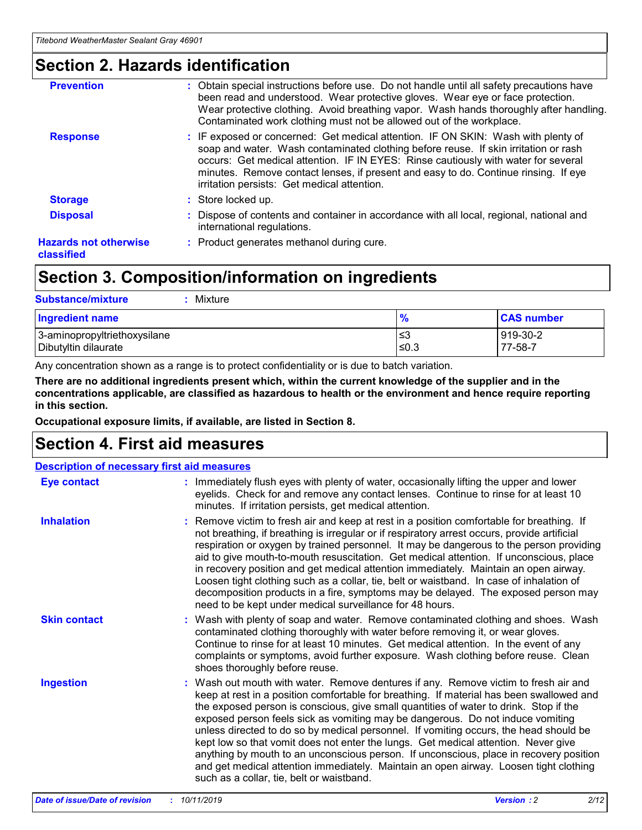### **Section 2. Hazards identification**

| <b>Prevention</b>                          | : Obtain special instructions before use. Do not handle until all safety precautions have<br>been read and understood. Wear protective gloves. Wear eye or face protection.<br>Wear protective clothing. Avoid breathing vapor. Wash hands thoroughly after handling.<br>Contaminated work clothing must not be allowed out of the workplace.                                                        |
|--------------------------------------------|------------------------------------------------------------------------------------------------------------------------------------------------------------------------------------------------------------------------------------------------------------------------------------------------------------------------------------------------------------------------------------------------------|
| <b>Response</b>                            | : IF exposed or concerned: Get medical attention. IF ON SKIN: Wash with plenty of<br>soap and water. Wash contaminated clothing before reuse. If skin irritation or rash<br>occurs: Get medical attention. IF IN EYES: Rinse cautiously with water for several<br>minutes. Remove contact lenses, if present and easy to do. Continue rinsing. If eye<br>irritation persists: Get medical attention. |
| <b>Storage</b>                             | : Store locked up.                                                                                                                                                                                                                                                                                                                                                                                   |
| <b>Disposal</b>                            | : Dispose of contents and container in accordance with all local, regional, national and<br>international regulations.                                                                                                                                                                                                                                                                               |
| <b>Hazards not otherwise</b><br>classified | : Product generates methanol during cure.                                                                                                                                                                                                                                                                                                                                                            |
|                                            |                                                                                                                                                                                                                                                                                                                                                                                                      |

### **Section 3. Composition/information on ingredients**

| <b>Substance/mixture</b><br>Mixture                  |               |                     |
|------------------------------------------------------|---------------|---------------------|
| <b>Ingredient name</b>                               | $\frac{9}{6}$ | <b>CAS number</b>   |
| 3-aminopropyltriethoxysilane<br>Dibutyltin dilaurate | ≤3<br>$≤0.3$  | 919-30-2<br>77-58-7 |

Any concentration shown as a range is to protect confidentiality or is due to batch variation.

**There are no additional ingredients present which, within the current knowledge of the supplier and in the concentrations applicable, are classified as hazardous to health or the environment and hence require reporting in this section.**

**Occupational exposure limits, if available, are listed in Section 8.**

### **Section 4. First aid measures**

| <b>Description of necessary first aid measures</b> |                                                                                                                                                                                                                                                                                                                                                                                                                                                                                                                                                                                                                                                                                                                                                                           |
|----------------------------------------------------|---------------------------------------------------------------------------------------------------------------------------------------------------------------------------------------------------------------------------------------------------------------------------------------------------------------------------------------------------------------------------------------------------------------------------------------------------------------------------------------------------------------------------------------------------------------------------------------------------------------------------------------------------------------------------------------------------------------------------------------------------------------------------|
| <b>Eye contact</b>                                 | : Immediately flush eyes with plenty of water, occasionally lifting the upper and lower<br>eyelids. Check for and remove any contact lenses. Continue to rinse for at least 10<br>minutes. If irritation persists, get medical attention.                                                                                                                                                                                                                                                                                                                                                                                                                                                                                                                                 |
| <b>Inhalation</b>                                  | : Remove victim to fresh air and keep at rest in a position comfortable for breathing. If<br>not breathing, if breathing is irregular or if respiratory arrest occurs, provide artificial<br>respiration or oxygen by trained personnel. It may be dangerous to the person providing<br>aid to give mouth-to-mouth resuscitation. Get medical attention. If unconscious, place<br>in recovery position and get medical attention immediately. Maintain an open airway.<br>Loosen tight clothing such as a collar, tie, belt or waistband. In case of inhalation of<br>decomposition products in a fire, symptoms may be delayed. The exposed person may<br>need to be kept under medical surveillance for 48 hours.                                                       |
| <b>Skin contact</b>                                | : Wash with plenty of soap and water. Remove contaminated clothing and shoes. Wash<br>contaminated clothing thoroughly with water before removing it, or wear gloves.<br>Continue to rinse for at least 10 minutes. Get medical attention. In the event of any<br>complaints or symptoms, avoid further exposure. Wash clothing before reuse. Clean<br>shoes thoroughly before reuse.                                                                                                                                                                                                                                                                                                                                                                                     |
| <b>Ingestion</b>                                   | : Wash out mouth with water. Remove dentures if any. Remove victim to fresh air and<br>keep at rest in a position comfortable for breathing. If material has been swallowed and<br>the exposed person is conscious, give small quantities of water to drink. Stop if the<br>exposed person feels sick as vomiting may be dangerous. Do not induce vomiting<br>unless directed to do so by medical personnel. If vomiting occurs, the head should be<br>kept low so that vomit does not enter the lungs. Get medical attention. Never give<br>anything by mouth to an unconscious person. If unconscious, place in recovery position<br>and get medical attention immediately. Maintain an open airway. Loosen tight clothing<br>such as a collar, tie, belt or waistband. |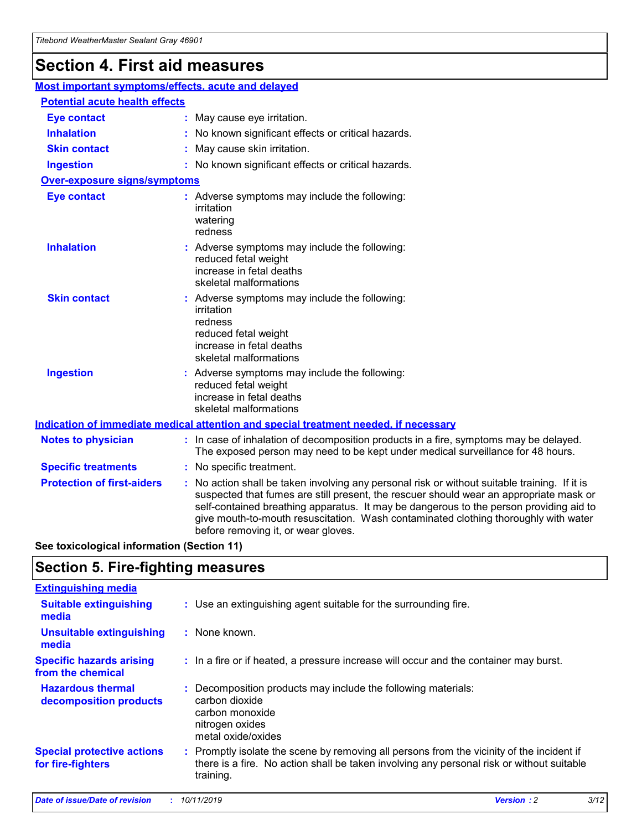## **Section 4. First aid measures**

| Most important symptoms/effects, acute and delayed |  |                                                                                                                                                                                                                                                                                                                                                                                                                 |
|----------------------------------------------------|--|-----------------------------------------------------------------------------------------------------------------------------------------------------------------------------------------------------------------------------------------------------------------------------------------------------------------------------------------------------------------------------------------------------------------|
| <b>Potential acute health effects</b>              |  |                                                                                                                                                                                                                                                                                                                                                                                                                 |
| <b>Eye contact</b>                                 |  | : May cause eye irritation.                                                                                                                                                                                                                                                                                                                                                                                     |
| <b>Inhalation</b>                                  |  | : No known significant effects or critical hazards.                                                                                                                                                                                                                                                                                                                                                             |
| <b>Skin contact</b>                                |  | : May cause skin irritation.                                                                                                                                                                                                                                                                                                                                                                                    |
| <b>Ingestion</b>                                   |  | : No known significant effects or critical hazards.                                                                                                                                                                                                                                                                                                                                                             |
| <b>Over-exposure signs/symptoms</b>                |  |                                                                                                                                                                                                                                                                                                                                                                                                                 |
| <b>Eye contact</b>                                 |  | : Adverse symptoms may include the following:<br>irritation<br>watering<br>redness                                                                                                                                                                                                                                                                                                                              |
| <b>Inhalation</b>                                  |  | : Adverse symptoms may include the following:<br>reduced fetal weight<br>increase in fetal deaths<br>skeletal malformations                                                                                                                                                                                                                                                                                     |
| <b>Skin contact</b>                                |  | : Adverse symptoms may include the following:<br>irritation<br>redness<br>reduced fetal weight<br>increase in fetal deaths<br>skeletal malformations                                                                                                                                                                                                                                                            |
| <b>Ingestion</b>                                   |  | : Adverse symptoms may include the following:<br>reduced fetal weight<br>increase in fetal deaths<br>skeletal malformations                                                                                                                                                                                                                                                                                     |
|                                                    |  | <b>Indication of immediate medical attention and special treatment needed, if necessary</b>                                                                                                                                                                                                                                                                                                                     |
| <b>Notes to physician</b>                          |  | : In case of inhalation of decomposition products in a fire, symptoms may be delayed.<br>The exposed person may need to be kept under medical surveillance for 48 hours.                                                                                                                                                                                                                                        |
| <b>Specific treatments</b>                         |  | : No specific treatment.                                                                                                                                                                                                                                                                                                                                                                                        |
| <b>Protection of first-aiders</b>                  |  | : No action shall be taken involving any personal risk or without suitable training. If it is<br>suspected that fumes are still present, the rescuer should wear an appropriate mask or<br>self-contained breathing apparatus. It may be dangerous to the person providing aid to<br>give mouth-to-mouth resuscitation. Wash contaminated clothing thoroughly with water<br>before removing it, or wear gloves. |

**See toxicological information (Section 11)**

### **Section 5. Fire-fighting measures**

| <b>Extinguishing media</b>                             |                                                                                                                                                                                                     |
|--------------------------------------------------------|-----------------------------------------------------------------------------------------------------------------------------------------------------------------------------------------------------|
| <b>Suitable extinguishing</b><br>media                 | : Use an extinguishing agent suitable for the surrounding fire.                                                                                                                                     |
| <b>Unsuitable extinguishing</b><br>media               | : None known.                                                                                                                                                                                       |
| <b>Specific hazards arising</b><br>from the chemical   | : In a fire or if heated, a pressure increase will occur and the container may burst.                                                                                                               |
| <b>Hazardous thermal</b><br>decomposition products     | : Decomposition products may include the following materials:<br>carbon dioxide<br>carbon monoxide<br>nitrogen oxides<br>metal oxide/oxides                                                         |
| <b>Special protective actions</b><br>for fire-fighters | : Promptly isolate the scene by removing all persons from the vicinity of the incident if<br>there is a fire. No action shall be taken involving any personal risk or without suitable<br>training. |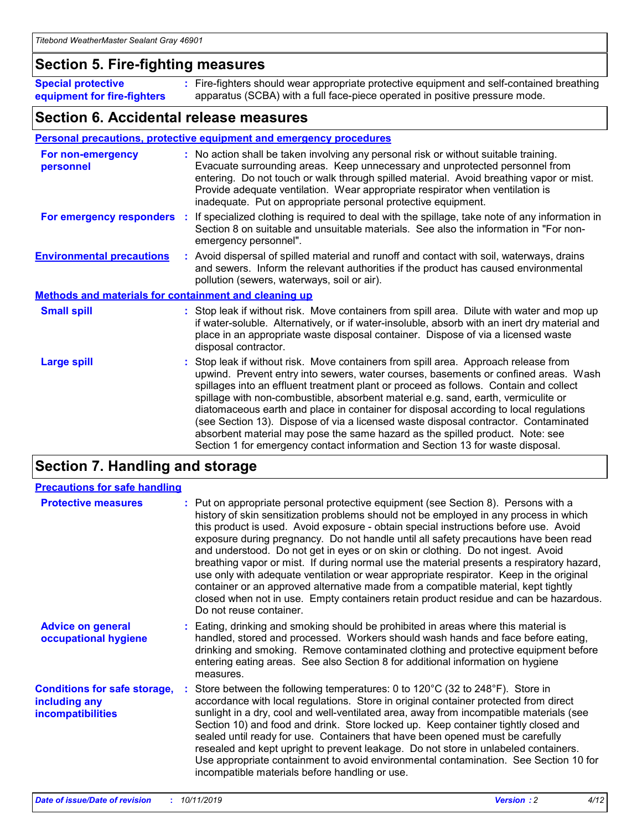### **Section 5. Fire-fighting measures**

**Special protective equipment for fire-fighters** Fire-fighters should wear appropriate protective equipment and self-contained breathing **:** apparatus (SCBA) with a full face-piece operated in positive pressure mode.

### **Section 6. Accidental release measures**

#### **Personal precautions, protective equipment and emergency procedures**

| For non-emergency<br>personnel                               | : No action shall be taken involving any personal risk or without suitable training.<br>Evacuate surrounding areas. Keep unnecessary and unprotected personnel from<br>entering. Do not touch or walk through spilled material. Avoid breathing vapor or mist.<br>Provide adequate ventilation. Wear appropriate respirator when ventilation is<br>inadequate. Put on appropriate personal protective equipment.                                                                                                                                                                                                                                                                                             |
|--------------------------------------------------------------|--------------------------------------------------------------------------------------------------------------------------------------------------------------------------------------------------------------------------------------------------------------------------------------------------------------------------------------------------------------------------------------------------------------------------------------------------------------------------------------------------------------------------------------------------------------------------------------------------------------------------------------------------------------------------------------------------------------|
|                                                              | For emergency responders : If specialized clothing is required to deal with the spillage, take note of any information in<br>Section 8 on suitable and unsuitable materials. See also the information in "For non-<br>emergency personnel".                                                                                                                                                                                                                                                                                                                                                                                                                                                                  |
| <b>Environmental precautions</b>                             | : Avoid dispersal of spilled material and runoff and contact with soil, waterways, drains<br>and sewers. Inform the relevant authorities if the product has caused environmental<br>pollution (sewers, waterways, soil or air).                                                                                                                                                                                                                                                                                                                                                                                                                                                                              |
| <b>Methods and materials for containment and cleaning up</b> |                                                                                                                                                                                                                                                                                                                                                                                                                                                                                                                                                                                                                                                                                                              |
| <b>Small spill</b>                                           | : Stop leak if without risk. Move containers from spill area. Dilute with water and mop up<br>if water-soluble. Alternatively, or if water-insoluble, absorb with an inert dry material and<br>place in an appropriate waste disposal container. Dispose of via a licensed waste<br>disposal contractor.                                                                                                                                                                                                                                                                                                                                                                                                     |
| <b>Large spill</b>                                           | : Stop leak if without risk. Move containers from spill area. Approach release from<br>upwind. Prevent entry into sewers, water courses, basements or confined areas. Wash<br>spillages into an effluent treatment plant or proceed as follows. Contain and collect<br>spillage with non-combustible, absorbent material e.g. sand, earth, vermiculite or<br>diatomaceous earth and place in container for disposal according to local regulations<br>(see Section 13). Dispose of via a licensed waste disposal contractor. Contaminated<br>absorbent material may pose the same hazard as the spilled product. Note: see<br>Section 1 for emergency contact information and Section 13 for waste disposal. |

### **Section 7. Handling and storage**

| <b>Precautions for safe handling</b>                                             |                                                                                                                                                                                                                                                                                                                                                                                                                                                                                                                                                                                                                                                                                                                                                                                                                                                  |
|----------------------------------------------------------------------------------|--------------------------------------------------------------------------------------------------------------------------------------------------------------------------------------------------------------------------------------------------------------------------------------------------------------------------------------------------------------------------------------------------------------------------------------------------------------------------------------------------------------------------------------------------------------------------------------------------------------------------------------------------------------------------------------------------------------------------------------------------------------------------------------------------------------------------------------------------|
| <b>Protective measures</b>                                                       | : Put on appropriate personal protective equipment (see Section 8). Persons with a<br>history of skin sensitization problems should not be employed in any process in which<br>this product is used. Avoid exposure - obtain special instructions before use. Avoid<br>exposure during pregnancy. Do not handle until all safety precautions have been read<br>and understood. Do not get in eyes or on skin or clothing. Do not ingest. Avoid<br>breathing vapor or mist. If during normal use the material presents a respiratory hazard,<br>use only with adequate ventilation or wear appropriate respirator. Keep in the original<br>container or an approved alternative made from a compatible material, kept tightly<br>closed when not in use. Empty containers retain product residue and can be hazardous.<br>Do not reuse container. |
| <b>Advice on general</b><br>occupational hygiene                                 | : Eating, drinking and smoking should be prohibited in areas where this material is<br>handled, stored and processed. Workers should wash hands and face before eating,<br>drinking and smoking. Remove contaminated clothing and protective equipment before<br>entering eating areas. See also Section 8 for additional information on hygiene<br>measures.                                                                                                                                                                                                                                                                                                                                                                                                                                                                                    |
| <b>Conditions for safe storage,</b><br>including any<br><b>incompatibilities</b> | : Store between the following temperatures: 0 to 120 $\degree$ C (32 to 248 $\degree$ F). Store in<br>accordance with local regulations. Store in original container protected from direct<br>sunlight in a dry, cool and well-ventilated area, away from incompatible materials (see<br>Section 10) and food and drink. Store locked up. Keep container tightly closed and<br>sealed until ready for use. Containers that have been opened must be carefully<br>resealed and kept upright to prevent leakage. Do not store in unlabeled containers.<br>Use appropriate containment to avoid environmental contamination. See Section 10 for<br>incompatible materials before handling or use.                                                                                                                                                   |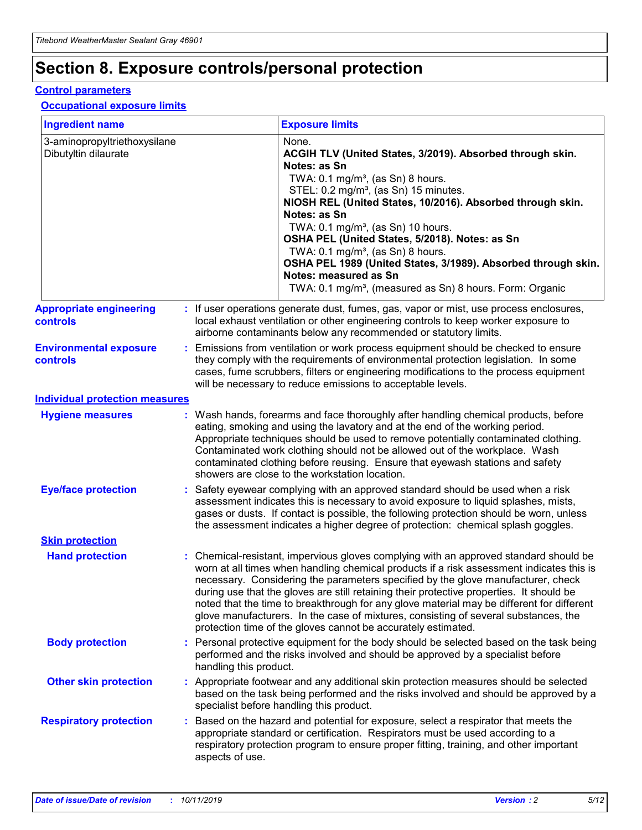## **Section 8. Exposure controls/personal protection**

#### **Control parameters**

#### **Occupational exposure limits**

| <b>Ingredient name</b>                               |    |                        | <b>Exposure limits</b>                                                                                                                                                                                                                                                                                                                                                                                                                                                                                                                                                                                                 |
|------------------------------------------------------|----|------------------------|------------------------------------------------------------------------------------------------------------------------------------------------------------------------------------------------------------------------------------------------------------------------------------------------------------------------------------------------------------------------------------------------------------------------------------------------------------------------------------------------------------------------------------------------------------------------------------------------------------------------|
| 3-aminopropyltriethoxysilane<br>Dibutyltin dilaurate |    |                        | None.<br>ACGIH TLV (United States, 3/2019). Absorbed through skin.<br>Notes: as Sn<br>TWA: 0.1 mg/m <sup>3</sup> , (as Sn) 8 hours.<br>STEL: 0.2 mg/m <sup>3</sup> , (as Sn) 15 minutes.<br>NIOSH REL (United States, 10/2016). Absorbed through skin.<br>Notes: as Sn<br>TWA: 0.1 mg/m <sup>3</sup> , (as Sn) 10 hours.<br>OSHA PEL (United States, 5/2018). Notes: as Sn<br>TWA: $0.1 \text{ mg/m}^3$ , (as Sn) 8 hours.<br>OSHA PEL 1989 (United States, 3/1989). Absorbed through skin.<br>Notes: measured as Sn<br>TWA: 0.1 mg/m <sup>3</sup> , (measured as Sn) 8 hours. Form: Organic                           |
| <b>Appropriate engineering</b><br>controls           |    |                        | : If user operations generate dust, fumes, gas, vapor or mist, use process enclosures,<br>local exhaust ventilation or other engineering controls to keep worker exposure to<br>airborne contaminants below any recommended or statutory limits.                                                                                                                                                                                                                                                                                                                                                                       |
| <b>Environmental exposure</b><br><b>controls</b>     |    |                        | Emissions from ventilation or work process equipment should be checked to ensure<br>they comply with the requirements of environmental protection legislation. In some<br>cases, fume scrubbers, filters or engineering modifications to the process equipment<br>will be necessary to reduce emissions to acceptable levels.                                                                                                                                                                                                                                                                                          |
| <b>Individual protection measures</b>                |    |                        |                                                                                                                                                                                                                                                                                                                                                                                                                                                                                                                                                                                                                        |
| <b>Hygiene measures</b>                              |    |                        | : Wash hands, forearms and face thoroughly after handling chemical products, before<br>eating, smoking and using the lavatory and at the end of the working period.<br>Appropriate techniques should be used to remove potentially contaminated clothing.<br>Contaminated work clothing should not be allowed out of the workplace. Wash<br>contaminated clothing before reusing. Ensure that eyewash stations and safety<br>showers are close to the workstation location.                                                                                                                                            |
| <b>Eye/face protection</b>                           |    |                        | : Safety eyewear complying with an approved standard should be used when a risk<br>assessment indicates this is necessary to avoid exposure to liquid splashes, mists,<br>gases or dusts. If contact is possible, the following protection should be worn, unless<br>the assessment indicates a higher degree of protection: chemical splash goggles.                                                                                                                                                                                                                                                                  |
| <b>Skin protection</b>                               |    |                        |                                                                                                                                                                                                                                                                                                                                                                                                                                                                                                                                                                                                                        |
| <b>Hand protection</b>                               |    |                        | : Chemical-resistant, impervious gloves complying with an approved standard should be<br>worn at all times when handling chemical products if a risk assessment indicates this is<br>necessary. Considering the parameters specified by the glove manufacturer, check<br>during use that the gloves are still retaining their protective properties. It should be<br>noted that the time to breakthrough for any glove material may be different for different<br>glove manufacturers. In the case of mixtures, consisting of several substances, the<br>protection time of the gloves cannot be accurately estimated. |
| <b>Body protection</b>                               |    | handling this product. | Personal protective equipment for the body should be selected based on the task being<br>performed and the risks involved and should be approved by a specialist before                                                                                                                                                                                                                                                                                                                                                                                                                                                |
| <b>Other skin protection</b>                         |    |                        | : Appropriate footwear and any additional skin protection measures should be selected<br>based on the task being performed and the risks involved and should be approved by a<br>specialist before handling this product.                                                                                                                                                                                                                                                                                                                                                                                              |
| <b>Respiratory protection</b>                        | ÷. | aspects of use.        | Based on the hazard and potential for exposure, select a respirator that meets the<br>appropriate standard or certification. Respirators must be used according to a<br>respiratory protection program to ensure proper fitting, training, and other important                                                                                                                                                                                                                                                                                                                                                         |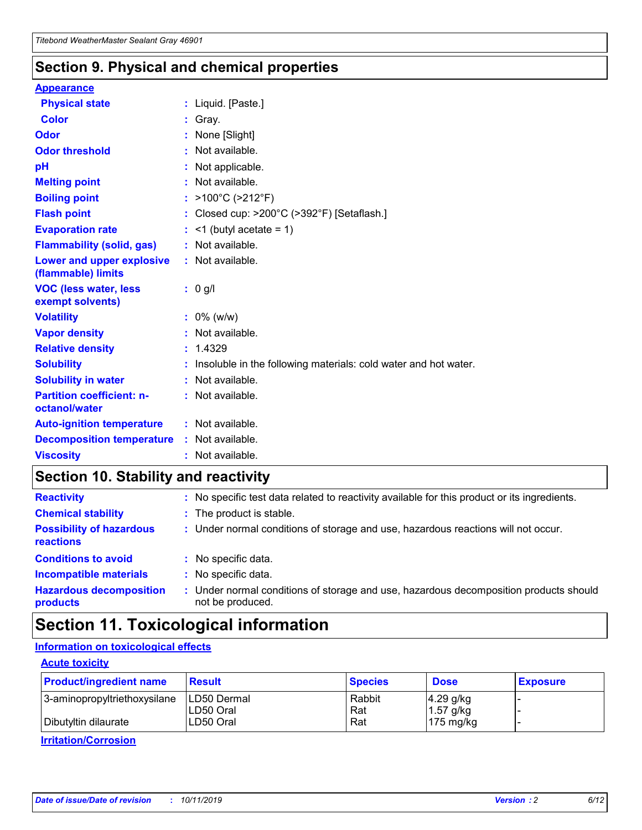### **Section 9. Physical and chemical properties**

#### **Appearance**

| <b>Physical state</b>                                  | : Liquid. [Paste.]                                                |
|--------------------------------------------------------|-------------------------------------------------------------------|
| <b>Color</b>                                           | Gray.                                                             |
| Odor                                                   | None [Slight]                                                     |
| <b>Odor threshold</b>                                  | $:$ Not available.                                                |
| рH                                                     | : Not applicable.                                                 |
| <b>Melting point</b>                                   | : Not available.                                                  |
| <b>Boiling point</b>                                   | : $>100^{\circ}$ C ( $>212^{\circ}$ F)                            |
| <b>Flash point</b>                                     | : Closed cup: $>200^{\circ}$ C ( $>392^{\circ}$ F) [Setaflash.]   |
| <b>Evaporation rate</b>                                | $:$ <1 (butyl acetate = 1)                                        |
| <b>Flammability (solid, gas)</b>                       | : Not available.                                                  |
| <b>Lower and upper explosive</b><br>(flammable) limits | : Not available.                                                  |
|                                                        | : 0 g/l                                                           |
| <b>VOC (less water, less</b><br>exempt solvents)       |                                                                   |
| <b>Volatility</b>                                      | $: 0\%$ (w/w)                                                     |
| <b>Vapor density</b>                                   | : Not available.                                                  |
| <b>Relative density</b>                                | : 1.4329                                                          |
| <b>Solubility</b>                                      | : Insoluble in the following materials: cold water and hot water. |
| <b>Solubility in water</b>                             | : Not available.                                                  |
| <b>Partition coefficient: n-</b><br>octanol/water      | $:$ Not available.                                                |
| <b>Auto-ignition temperature</b>                       | : Not available.                                                  |
| <b>Decomposition temperature</b>                       | : Not available.                                                  |

### **Section 10. Stability and reactivity**

| <b>Reactivity</b>                            |    | : No specific test data related to reactivity available for this product or its ingredients.            |
|----------------------------------------------|----|---------------------------------------------------------------------------------------------------------|
| <b>Chemical stability</b>                    |    | : The product is stable.                                                                                |
| <b>Possibility of hazardous</b><br>reactions |    | : Under normal conditions of storage and use, hazardous reactions will not occur.                       |
| <b>Conditions to avoid</b>                   |    | : No specific data.                                                                                     |
| <b>Incompatible materials</b>                | ٠. | No specific data.                                                                                       |
| <b>Hazardous decomposition</b><br>products   | ÷. | Under normal conditions of storage and use, hazardous decomposition products should<br>not be produced. |

### **Section 11. Toxicological information**

### **Information on toxicological effects**

#### **Acute toxicity**

| <b>Product/ingredient name</b> | <b>Result</b>           | <b>Species</b> | <b>Dose</b>                | <b>Exposure</b> |
|--------------------------------|-------------------------|----------------|----------------------------|-----------------|
| 3-aminopropyltriethoxysilane   | <b>ILD50 Dermal</b>     | Rabbit         | 4.29 g/kg                  |                 |
| Dibutyltin dilaurate           | ILD50 Oral<br>LD50 Oral | Rat<br>Rat     | $1.57$ g/kg<br>175 $mg/kg$ |                 |
|                                |                         |                |                            |                 |

**Irritation/Corrosion**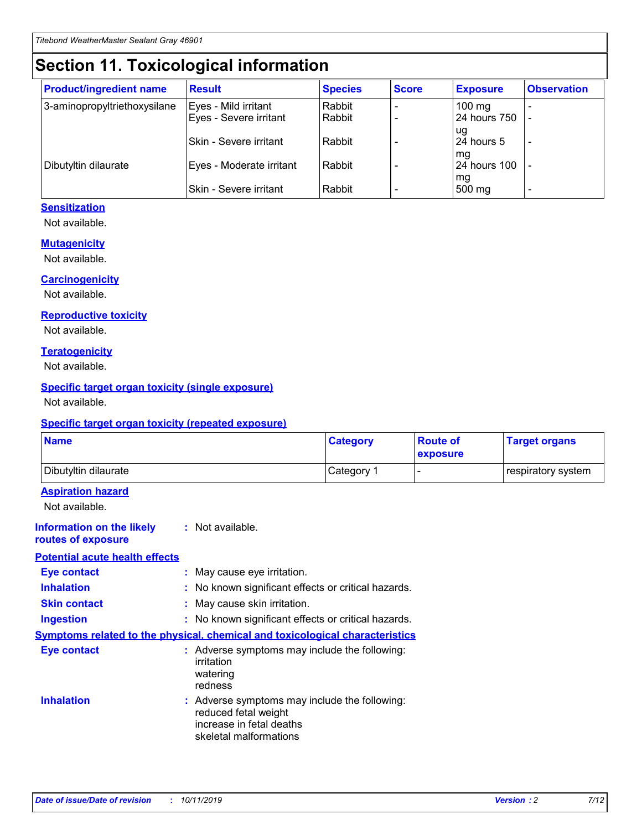## **Section 11. Toxicological information**

| <b>Product/ingredient name</b> | <b>Result</b>                 | <b>Species</b> | <b>Score</b> | <b>Exposure</b>           | <b>Observation</b> |
|--------------------------------|-------------------------------|----------------|--------------|---------------------------|--------------------|
| 3-aminopropyltriethoxysilane   | Eyes - Mild irritant          | Rabbit         |              | $100 \text{ mg}$          |                    |
|                                | Eyes - Severe irritant        | Rabbit         |              | 24 hours 750              |                    |
|                                |                               |                |              | ug                        |                    |
|                                | <b>Skin - Severe irritant</b> | Rabbit         |              | 24 hours 5                | -                  |
| Dibutyltin dilaurate           | Eyes - Moderate irritant      | Rabbit         |              | mq<br><b>24 hours 100</b> |                    |
|                                |                               |                |              | mg                        |                    |
|                                | Skin - Severe irritant        | Rabbit         |              | 500 mg                    |                    |

#### **Sensitization**

Not available.

#### **Mutagenicity**

Not available.

#### **Carcinogenicity**

Not available.

#### **Reproductive toxicity**

Not available.

#### **Teratogenicity**

Not available.

#### **Specific target organ toxicity (single exposure)**

Not available.

#### **Specific target organ toxicity (repeated exposure)**

| <b>Name</b>                                                                  |                                                                                                                             | <b>Category</b> | <b>Route of</b><br>exposure  | <b>Target organs</b> |
|------------------------------------------------------------------------------|-----------------------------------------------------------------------------------------------------------------------------|-----------------|------------------------------|----------------------|
| Dibutyltin dilaurate                                                         |                                                                                                                             | Category 1      | $\qquad \qquad \blacksquare$ | respiratory system   |
| <b>Aspiration hazard</b><br>Not available.                                   |                                                                                                                             |                 |                              |                      |
| <b>Information on the likely</b><br>routes of exposure                       | : Not available.                                                                                                            |                 |                              |                      |
| <b>Potential acute health effects</b>                                        |                                                                                                                             |                 |                              |                      |
| <b>Eye contact</b>                                                           | : May cause eye irritation.                                                                                                 |                 |                              |                      |
| <b>Inhalation</b>                                                            | : No known significant effects or critical hazards.                                                                         |                 |                              |                      |
| <b>Skin contact</b>                                                          | : May cause skin irritation.                                                                                                |                 |                              |                      |
| <b>Ingestion</b>                                                             | : No known significant effects or critical hazards.                                                                         |                 |                              |                      |
| Symptoms related to the physical, chemical and toxicological characteristics |                                                                                                                             |                 |                              |                      |
| <b>Eye contact</b>                                                           | : Adverse symptoms may include the following:<br>irritation<br>watering<br>redness                                          |                 |                              |                      |
| <b>Inhalation</b>                                                            | : Adverse symptoms may include the following:<br>reduced fetal weight<br>increase in fetal deaths<br>skeletal malformations |                 |                              |                      |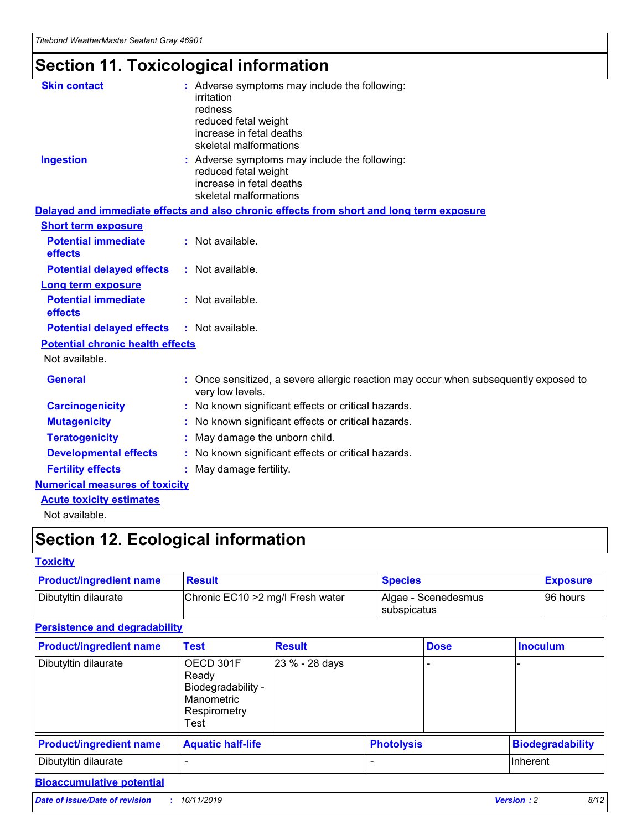## **Section 11. Toxicological information**

| <b>Skin contact</b>                     | : Adverse symptoms may include the following:<br>irritation<br>redness<br>reduced fetal weight<br>increase in fetal deaths<br>skeletal malformations |
|-----------------------------------------|------------------------------------------------------------------------------------------------------------------------------------------------------|
| <b>Ingestion</b>                        | : Adverse symptoms may include the following:<br>reduced fetal weight<br>increase in fetal deaths<br>skeletal malformations                          |
|                                         | Delayed and immediate effects and also chronic effects from short and long term exposure                                                             |
| <b>Short term exposure</b>              |                                                                                                                                                      |
| <b>Potential immediate</b><br>effects   | : Not available.                                                                                                                                     |
| <b>Potential delayed effects</b>        | : Not available.                                                                                                                                     |
| <b>Long term exposure</b>               |                                                                                                                                                      |
| <b>Potential immediate</b><br>effects   | : Not available.                                                                                                                                     |
| <b>Potential delayed effects</b>        | : Not available.                                                                                                                                     |
| <b>Potential chronic health effects</b> |                                                                                                                                                      |
| Not available.                          |                                                                                                                                                      |
| <b>General</b>                          | : Once sensitized, a severe allergic reaction may occur when subsequently exposed to<br>very low levels.                                             |
| <b>Carcinogenicity</b>                  | : No known significant effects or critical hazards.                                                                                                  |
| <b>Mutagenicity</b>                     | No known significant effects or critical hazards.                                                                                                    |
| <b>Teratogenicity</b>                   | May damage the unborn child.                                                                                                                         |
| <b>Developmental effects</b>            | No known significant effects or critical hazards.                                                                                                    |
| <b>Fertility effects</b>                | : May damage fertility.                                                                                                                              |
| <b>Numerical measures of toxicity</b>   |                                                                                                                                                      |
| <b>Acute toxicity estimates</b>         |                                                                                                                                                      |
|                                         |                                                                                                                                                      |

Not available.

## **Section 12. Ecological information**

#### **Toxicity**

| <b>Product/ingredient name</b> | <b>Result</b>                     | <b>Species</b>                       | <b>Exposure</b> |
|--------------------------------|-----------------------------------|--------------------------------------|-----------------|
| Dibutyltin dilaurate           | Chronic EC10 > 2 mg/l Fresh water | Algae - Scenedesmus<br>I subspicatus | l 96 hours      |

#### **Persistence and degradability**

| <b>Product/ingredient name</b> | Test                                                                           | <b>Result</b>  |                   | <b>Dose</b> | <b>Inoculum</b>         |
|--------------------------------|--------------------------------------------------------------------------------|----------------|-------------------|-------------|-------------------------|
| Dibutyltin dilaurate           | OECD 301F<br>Ready<br>Biodegradability -<br>Manometric<br>Respirometry<br>Test | 23 % - 28 days |                   |             |                         |
| <b>Product/ingredient name</b> | <b>Aquatic half-life</b>                                                       |                | <b>Photolysis</b> |             | <b>Biodegradability</b> |
| Dibutyltin dilaurate           |                                                                                |                |                   |             | Inherent                |

#### **Bioaccumulative potential**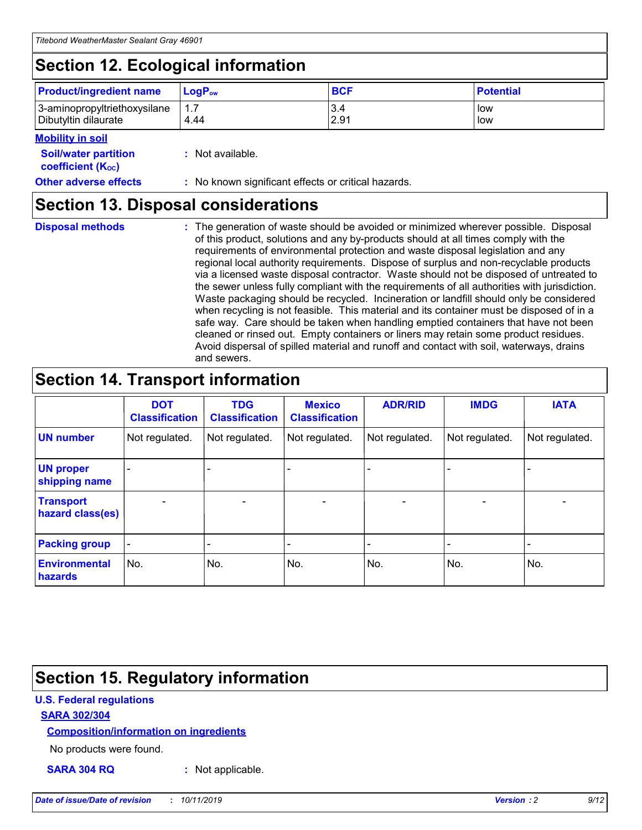## **Section 12. Ecological information**

| <b>Product/ingredient name</b> | $LoaPow$ | <b>BCF</b> | <b>Potential</b> |
|--------------------------------|----------|------------|------------------|
| 3-aminopropyltriethoxysilane   | 1.7      | 3.4        | low              |
| Dibutyltin dilaurate           | 4.44     | 2.91       | low              |

#### **Mobility in soil**

| <i></i>                                                       |                                                     |
|---------------------------------------------------------------|-----------------------------------------------------|
| <b>Soil/water partition</b><br>coefficient (K <sub>oc</sub> ) | : Not available.                                    |
| <b>Other adverse effects</b>                                  | : No known significant effects or critical hazards. |

### **Section 13. Disposal considerations**

**Disposal methods :**

The generation of waste should be avoided or minimized wherever possible. Disposal of this product, solutions and any by-products should at all times comply with the requirements of environmental protection and waste disposal legislation and any regional local authority requirements. Dispose of surplus and non-recyclable products via a licensed waste disposal contractor. Waste should not be disposed of untreated to the sewer unless fully compliant with the requirements of all authorities with jurisdiction. Waste packaging should be recycled. Incineration or landfill should only be considered when recycling is not feasible. This material and its container must be disposed of in a safe way. Care should be taken when handling emptied containers that have not been cleaned or rinsed out. Empty containers or liners may retain some product residues. Avoid dispersal of spilled material and runoff and contact with soil, waterways, drains and sewers.

## **Section 14. Transport information**

|                                      | <b>DOT</b><br><b>Classification</b> | <b>TDG</b><br><b>Classification</b> | <b>Mexico</b><br><b>Classification</b> | <b>ADR/RID</b>           | <b>IMDG</b>              | <b>IATA</b>              |
|--------------------------------------|-------------------------------------|-------------------------------------|----------------------------------------|--------------------------|--------------------------|--------------------------|
| <b>UN number</b>                     | Not regulated.                      | Not regulated.                      | Not regulated.                         | Not regulated.           | Not regulated.           | Not regulated.           |
| <b>UN proper</b><br>shipping name    | $\qquad \qquad \blacksquare$        |                                     |                                        |                          |                          |                          |
| <b>Transport</b><br>hazard class(es) | $\blacksquare$                      | $\blacksquare$                      | $\blacksquare$                         | $\overline{\phantom{a}}$ | $\blacksquare$           | $\blacksquare$           |
| <b>Packing group</b>                 | $\overline{\phantom{a}}$            | $\overline{\phantom{0}}$            | $\overline{\phantom{0}}$               | -                        | $\overline{\phantom{0}}$ | $\overline{\phantom{a}}$ |
| <b>Environmental</b><br>hazards      | No.                                 | No.                                 | No.                                    | No.                      | No.                      | No.                      |

## **Section 15. Regulatory information**

#### **U.S. Federal regulations**

#### **SARA 302/304**

#### **Composition/information on ingredients**

No products were found.

**SARA 304 RQ :** Not applicable.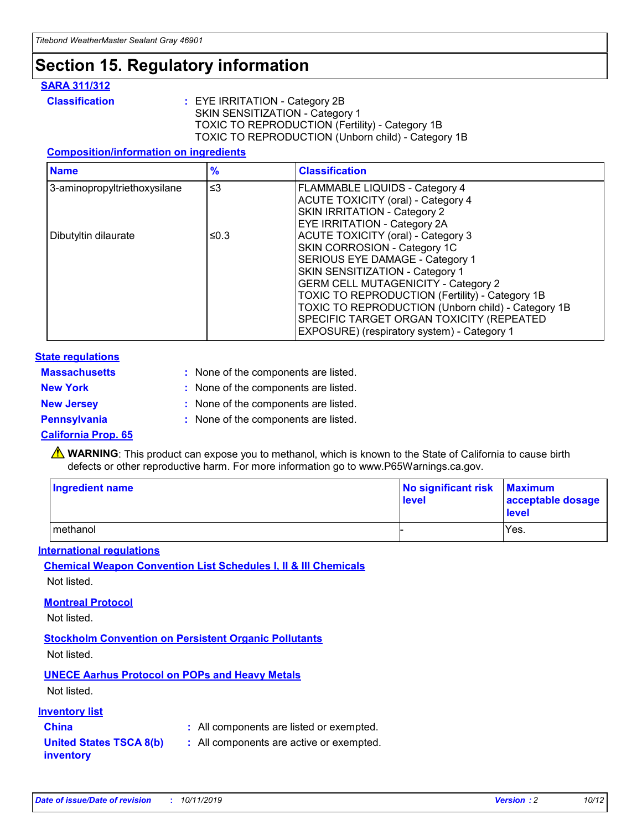## **Section 15. Regulatory information**

#### **SARA 311/312**

**Classification :** EYE IRRITATION - Category 2B SKIN SENSITIZATION - Category 1 TOXIC TO REPRODUCTION (Fertility) - Category 1B TOXIC TO REPRODUCTION (Unborn child) - Category 1B

#### **Composition/information on ingredients**

| <b>Name</b>                  | $\frac{9}{6}$ | <b>Classification</b>                                                                                            |
|------------------------------|---------------|------------------------------------------------------------------------------------------------------------------|
| 3-aminopropyltriethoxysilane | $\leq$ 3      | <b>FLAMMABLE LIQUIDS - Category 4</b><br><b>ACUTE TOXICITY (oral) - Category 4</b>                               |
|                              |               | SKIN IRRITATION - Category 2<br>EYE IRRITATION - Category 2A                                                     |
| Dibutyltin dilaurate         | ≤0.3          | ACUTE TOXICITY (oral) - Category 3<br>SKIN CORROSION - Category 1C                                               |
|                              |               | SERIOUS EYE DAMAGE - Category 1<br>SKIN SENSITIZATION - Category 1<br><b>GERM CELL MUTAGENICITY - Category 2</b> |
|                              |               | TOXIC TO REPRODUCTION (Fertility) - Category 1B<br>TOXIC TO REPRODUCTION (Unborn child) - Category 1B            |
|                              |               | SPECIFIC TARGET ORGAN TOXICITY (REPEATED<br>EXPOSURE) (respiratory system) - Category 1                          |

#### **State regulations**

| <b>Massachusetts</b> | : None of the components are listed. |
|----------------------|--------------------------------------|
| <b>New York</b>      | : None of the components are listed. |
| <b>New Jersey</b>    | : None of the components are listed. |
| <b>Pennsylvania</b>  | : None of the components are listed. |

#### **California Prop. 65**

**A** WARNING: This product can expose you to methanol, which is known to the State of California to cause birth defects or other reproductive harm. For more information go to www.P65Warnings.ca.gov.

| <b>Ingredient name</b> | No significant risk Maximum<br>level | acceptable dosage<br>level |
|------------------------|--------------------------------------|----------------------------|
| methanol               |                                      | Yes.                       |

#### **International regulations**

**Chemical Weapon Convention List Schedules I, II & III Chemicals** Not listed.

#### **Montreal Protocol**

Not listed.

#### **Stockholm Convention on Persistent Organic Pollutants**

Not listed.

### **UNECE Aarhus Protocol on POPs and Heavy Metals**

Not listed.

#### **Inventory list**

### **China :** All components are listed or exempted.

**United States TSCA 8(b) inventory :** All components are active or exempted.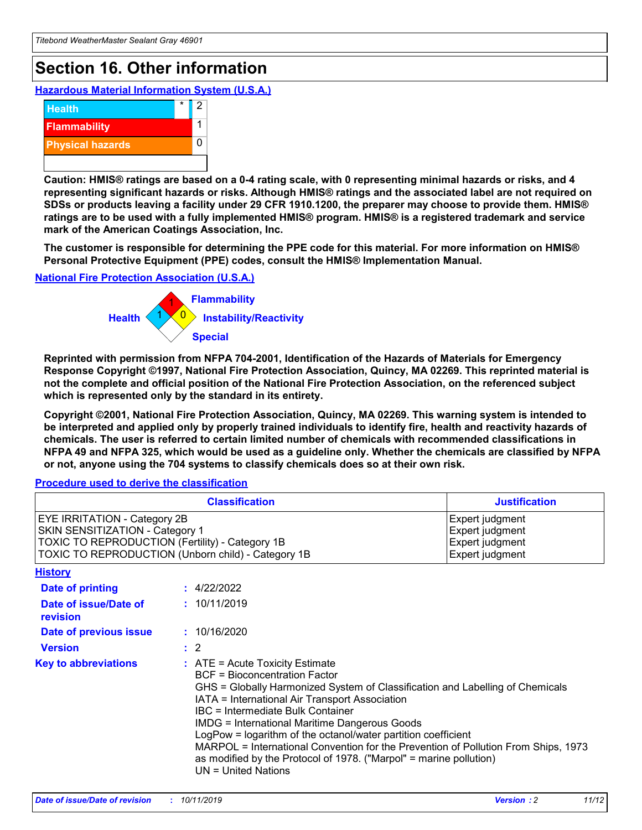## **Section 16. Other information**

**Hazardous Material Information System (U.S.A.)**



**Caution: HMIS® ratings are based on a 0-4 rating scale, with 0 representing minimal hazards or risks, and 4 representing significant hazards or risks. Although HMIS® ratings and the associated label are not required on SDSs or products leaving a facility under 29 CFR 1910.1200, the preparer may choose to provide them. HMIS® ratings are to be used with a fully implemented HMIS® program. HMIS® is a registered trademark and service mark of the American Coatings Association, Inc.**

**The customer is responsible for determining the PPE code for this material. For more information on HMIS® Personal Protective Equipment (PPE) codes, consult the HMIS® Implementation Manual.**

#### **National Fire Protection Association (U.S.A.)**



**Reprinted with permission from NFPA 704-2001, Identification of the Hazards of Materials for Emergency Response Copyright ©1997, National Fire Protection Association, Quincy, MA 02269. This reprinted material is not the complete and official position of the National Fire Protection Association, on the referenced subject which is represented only by the standard in its entirety.**

**Copyright ©2001, National Fire Protection Association, Quincy, MA 02269. This warning system is intended to be interpreted and applied only by properly trained individuals to identify fire, health and reactivity hazards of chemicals. The user is referred to certain limited number of chemicals with recommended classifications in NFPA 49 and NFPA 325, which would be used as a guideline only. Whether the chemicals are classified by NFPA or not, anyone using the 704 systems to classify chemicals does so at their own risk.**

#### **Procedure used to derive the classification**

| <b>Classification</b>                                                                                                                                                                  |                                                                                                                                                                                                                                                                   | <b>Justification</b>                                                                                                                                                                                                                                                                                       |  |
|----------------------------------------------------------------------------------------------------------------------------------------------------------------------------------------|-------------------------------------------------------------------------------------------------------------------------------------------------------------------------------------------------------------------------------------------------------------------|------------------------------------------------------------------------------------------------------------------------------------------------------------------------------------------------------------------------------------------------------------------------------------------------------------|--|
| <b>EYE IRRITATION - Category 2B</b><br>SKIN SENSITIZATION - Category 1<br><b>TOXIC TO REPRODUCTION (Fertility) - Category 1B</b><br>TOXIC TO REPRODUCTION (Unborn child) - Category 1B |                                                                                                                                                                                                                                                                   | Expert judgment<br>Expert judgment<br>Expert judgment<br>Expert judgment                                                                                                                                                                                                                                   |  |
| <b>History</b>                                                                                                                                                                         |                                                                                                                                                                                                                                                                   |                                                                                                                                                                                                                                                                                                            |  |
| <b>Date of printing</b>                                                                                                                                                                | : 4/22/2022                                                                                                                                                                                                                                                       |                                                                                                                                                                                                                                                                                                            |  |
| Date of issue/Date of<br>revision                                                                                                                                                      | : 10/11/2019                                                                                                                                                                                                                                                      |                                                                                                                                                                                                                                                                                                            |  |
| Date of previous issue                                                                                                                                                                 | : 10/16/2020                                                                                                                                                                                                                                                      |                                                                                                                                                                                                                                                                                                            |  |
| <b>Version</b>                                                                                                                                                                         | $\therefore$ 2                                                                                                                                                                                                                                                    |                                                                                                                                                                                                                                                                                                            |  |
| <b>Key to abbreviations</b>                                                                                                                                                            | $\therefore$ ATE = Acute Toxicity Estimate<br><b>BCF</b> = Bioconcentration Factor<br>IATA = International Air Transport Association<br><b>IBC</b> = Intermediate Bulk Container<br><b>IMDG = International Maritime Dangerous Goods</b><br>$UN = United Nations$ | GHS = Globally Harmonized System of Classification and Labelling of Chemicals<br>LogPow = logarithm of the octanol/water partition coefficient<br>MARPOL = International Convention for the Prevention of Pollution From Ships, 1973<br>as modified by the Protocol of 1978. ("Marpol" = marine pollution) |  |